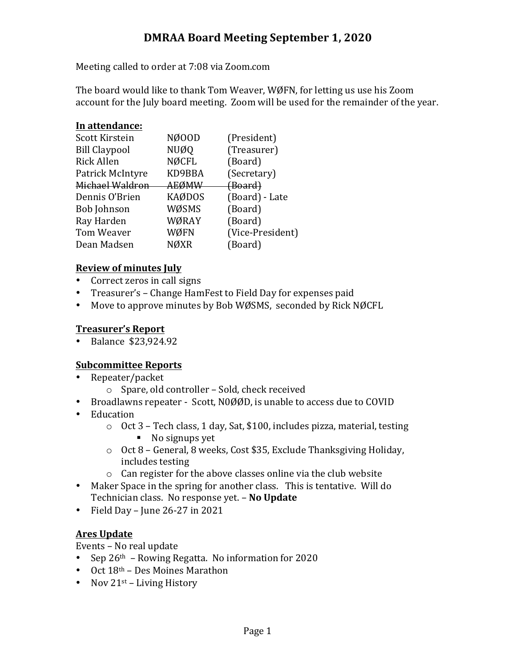## **DMRAA Board Meeting September 1, 2020**

Meeting called to order at 7:08 via Zoom.com

The board would like to thank Tom Weaver, WØFN, for letting us use his Zoom account for the July board meeting. Zoom will be used for the remainder of the year.

### In attendance:

| Scott Kirstein       | NØ00D         | (President)      |
|----------------------|---------------|------------------|
| <b>Bill Claypool</b> | <b>NUØQ</b>   | (Treasurer)      |
| <b>Rick Allen</b>    | NØCFL         | (Board)          |
| Patrick McIntyre     | KD9BBA        | (Secretary)      |
| Michael Waldron      | AEØMW         | (Board)          |
| Dennis O'Brien       | <b>KAØDOS</b> | (Board) - Late   |
| <b>Bob Johnson</b>   | WØSMS         | (Board)          |
| Ray Harden           | WØRAY         | (Board)          |
| Tom Weaver           | WØFN          | (Vice-President) |
| Dean Madsen          | <b>NØXR</b>   | (Board)          |
|                      |               |                  |

### **Review of minutes July**

- Correct zeros in call signs
- Treasurer's Change HamFest to Field Day for expenses paid
- Move to approve minutes by Bob WØSMS, seconded by Rick NØCFL

## **Treasurer's Report**

• Balance \$23,924.92

## **Subcommittee Reports**

- Repeater/packet
	- $\circ$  Spare, old controller Sold, check received
- Broadlawns repeater Scott, N0ØØD, is unable to access due to COVID
- Education
	- $\circ$  Oct 3 Tech class, 1 day, Sat, \$100, includes pizza, material, testing
		- No signups yet
	- $\circ$  Oct 8 General, 8 weeks, Cost \$35, Exclude Thanksgiving Holiday, includes testing
	- $\circ$  Can register for the above classes online via the club website
- Maker Space in the spring for another class. This is tentative. Will do Technician class. No response yet. - No Update
- Field Day June  $26-27$  in  $2021$

## **Ares Update**

Events - No real update

- Sep  $26<sup>th</sup>$  Rowing Regatta. No information for 2020
- Oct  $18<sup>th</sup>$  Des Moines Marathon
- Nov  $21^{st}$  Living History